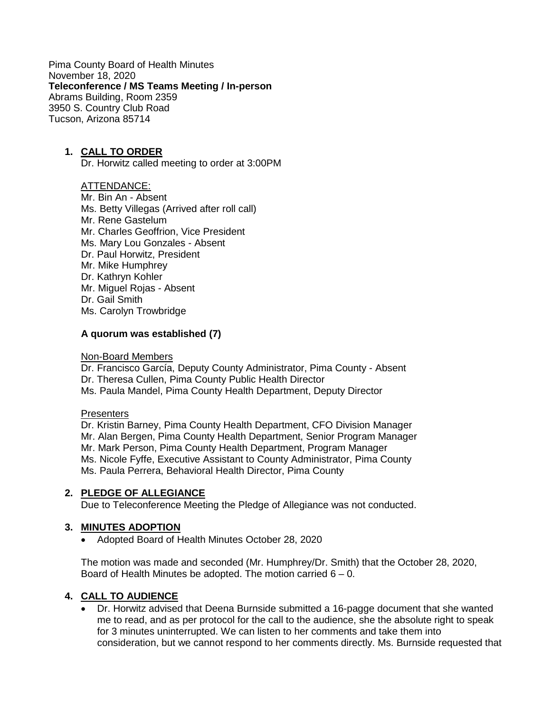Pima County Board of Health Minutes November 18, 2020 **Teleconference / MS Teams Meeting / In-person** Abrams Building, Room 2359 3950 S. Country Club Road Tucson, Arizona 85714

### **1. CALL TO ORDER**

Dr. Horwitz called meeting to order at 3:00PM

### ATTENDANCE:

Mr. Bin An - Absent Ms. Betty Villegas (Arrived after roll call) Mr. Rene Gastelum Mr. Charles Geoffrion, Vice President Ms. Mary Lou Gonzales - Absent Dr. Paul Horwitz, President Mr. Mike Humphrey Dr. Kathryn Kohler Mr. Miguel Rojas - Absent Dr. Gail Smith Ms. Carolyn Trowbridge

#### **A quorum was established (7)**

#### Non-Board Members

Dr. Francisco García, Deputy County Administrator, Pima County - Absent Dr. Theresa Cullen, Pima County Public Health Director Ms. Paula Mandel, Pima County Health Department, Deputy Director

#### **Presenters**

Dr. Kristin Barney, Pima County Health Department, CFO Division Manager Mr. Alan Bergen, Pima County Health Department, Senior Program Manager Mr. Mark Person, Pima County Health Department, Program Manager Ms. Nicole Fyffe, Executive Assistant to County Administrator, Pima County Ms. Paula Perrera, Behavioral Health Director, Pima County

### **2. PLEDGE OF ALLEGIANCE**

Due to Teleconference Meeting the Pledge of Allegiance was not conducted.

### **3. MINUTES ADOPTION**

• Adopted Board of Health Minutes October 28, 2020

The motion was made and seconded (Mr. Humphrey/Dr. Smith) that the October 28, 2020, Board of Health Minutes be adopted. The motion carried  $6 - 0$ .

### **4. CALL TO AUDIENCE**

• Dr. Horwitz advised that Deena Burnside submitted a 16-pagge document that she wanted me to read, and as per protocol for the call to the audience, she the absolute right to speak for 3 minutes uninterrupted. We can listen to her comments and take them into consideration, but we cannot respond to her comments directly. Ms. Burnside requested that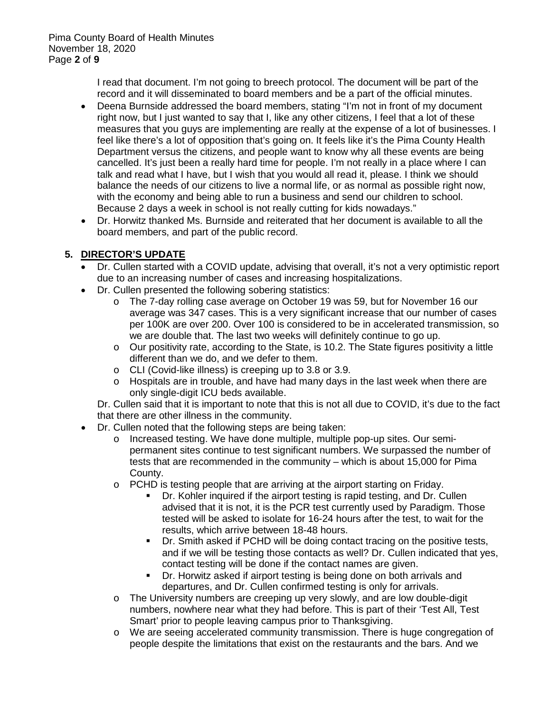I read that document. I'm not going to breech protocol. The document will be part of the record and it will disseminated to board members and be a part of the official minutes.

- Deena Burnside addressed the board members, stating "I'm not in front of my document right now, but I just wanted to say that I, like any other citizens, I feel that a lot of these measures that you guys are implementing are really at the expense of a lot of businesses. I feel like there's a lot of opposition that's going on. It feels like it's the Pima County Health Department versus the citizens, and people want to know why all these events are being cancelled. It's just been a really hard time for people. I'm not really in a place where I can talk and read what I have, but I wish that you would all read it, please. I think we should balance the needs of our citizens to live a normal life, or as normal as possible right now, with the economy and being able to run a business and send our children to school. Because 2 days a week in school is not really cutting for kids nowadays."
- Dr. Horwitz thanked Ms. Burnside and reiterated that her document is available to all the board members, and part of the public record.

# **5. DIRECTOR'S UPDATE**

- Dr. Cullen started with a COVID update, advising that overall, it's not a very optimistic report due to an increasing number of cases and increasing hospitalizations.
- Dr. Cullen presented the following sobering statistics:
	- o The 7-day rolling case average on October 19 was 59, but for November 16 our average was 347 cases. This is a very significant increase that our number of cases per 100K are over 200. Over 100 is considered to be in accelerated transmission, so we are double that. The last two weeks will definitely continue to go up.
	- $\circ$  Our positivity rate, according to the State, is 10.2. The State figures positivity a little different than we do, and we defer to them.
	- o CLI (Covid-like illness) is creeping up to 3.8 or 3.9.
	- o Hospitals are in trouble, and have had many days in the last week when there are only single-digit ICU beds available.

Dr. Cullen said that it is important to note that this is not all due to COVID, it's due to the fact that there are other illness in the community.

- Dr. Cullen noted that the following steps are being taken:
	- o Increased testing. We have done multiple, multiple pop-up sites. Our semipermanent sites continue to test significant numbers. We surpassed the number of tests that are recommended in the community – which is about 15,000 for Pima County.
	- o PCHD is testing people that are arriving at the airport starting on Friday.
		- Dr. Kohler inquired if the airport testing is rapid testing, and Dr. Cullen advised that it is not, it is the PCR test currently used by Paradigm. Those tested will be asked to isolate for 16-24 hours after the test, to wait for the results, which arrive between 18-48 hours.
		- Dr. Smith asked if PCHD will be doing contact tracing on the positive tests, and if we will be testing those contacts as well? Dr. Cullen indicated that yes, contact testing will be done if the contact names are given.
		- Dr. Horwitz asked if airport testing is being done on both arrivals and departures, and Dr. Cullen confirmed testing is only for arrivals.
	- o The University numbers are creeping up very slowly, and are low double-digit numbers, nowhere near what they had before. This is part of their 'Test All, Test Smart' prior to people leaving campus prior to Thanksgiving.
	- o We are seeing accelerated community transmission. There is huge congregation of people despite the limitations that exist on the restaurants and the bars. And we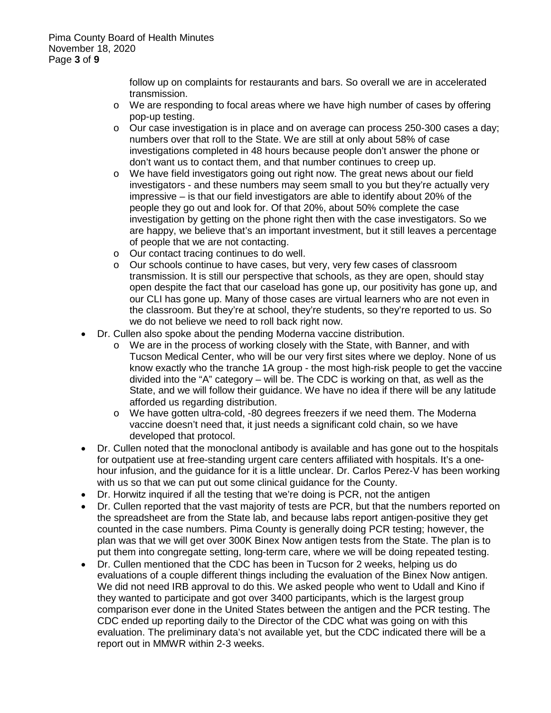follow up on complaints for restaurants and bars. So overall we are in accelerated transmission.

- o We are responding to focal areas where we have high number of cases by offering pop-up testing.
- $\circ$  Our case investigation is in place and on average can process 250-300 cases a day; numbers over that roll to the State. We are still at only about 58% of case investigations completed in 48 hours because people don't answer the phone or don't want us to contact them, and that number continues to creep up.
- o We have field investigators going out right now. The great news about our field investigators - and these numbers may seem small to you but they're actually very impressive – is that our field investigators are able to identify about 20% of the people they go out and look for. Of that 20%, about 50% complete the case investigation by getting on the phone right then with the case investigators. So we are happy, we believe that's an important investment, but it still leaves a percentage of people that we are not contacting.
- o Our contact tracing continues to do well.
- o Our schools continue to have cases, but very, very few cases of classroom transmission. It is still our perspective that schools, as they are open, should stay open despite the fact that our caseload has gone up, our positivity has gone up, and our CLI has gone up. Many of those cases are virtual learners who are not even in the classroom. But they're at school, they're students, so they're reported to us. So we do not believe we need to roll back right now.
- Dr. Cullen also spoke about the pending Moderna vaccine distribution.
	- o We are in the process of working closely with the State, with Banner, and with Tucson Medical Center, who will be our very first sites where we deploy. None of us know exactly who the tranche 1A group - the most high-risk people to get the vaccine divided into the "A" category – will be. The CDC is working on that, as well as the State, and we will follow their guidance. We have no idea if there will be any latitude afforded us regarding distribution.
	- o We have gotten ultra-cold, -80 degrees freezers if we need them. The Moderna vaccine doesn't need that, it just needs a significant cold chain, so we have developed that protocol.
- Dr. Cullen noted that the monoclonal antibody is available and has gone out to the hospitals for outpatient use at free-standing urgent care centers affiliated with hospitals. It's a onehour infusion, and the guidance for it is a little unclear. Dr. Carlos Perez-V has been working with us so that we can put out some clinical guidance for the County.
- Dr. Horwitz inquired if all the testing that we're doing is PCR, not the antigen
- Dr. Cullen reported that the vast majority of tests are PCR, but that the numbers reported on the spreadsheet are from the State lab, and because labs report antigen-positive they get counted in the case numbers. Pima County is generally doing PCR testing; however, the plan was that we will get over 300K Binex Now antigen tests from the State. The plan is to put them into congregate setting, long-term care, where we will be doing repeated testing.
- Dr. Cullen mentioned that the CDC has been in Tucson for 2 weeks, helping us do evaluations of a couple different things including the evaluation of the Binex Now antigen. We did not need IRB approval to do this. We asked people who went to Udall and Kino if they wanted to participate and got over 3400 participants, which is the largest group comparison ever done in the United States between the antigen and the PCR testing. The CDC ended up reporting daily to the Director of the CDC what was going on with this evaluation. The preliminary data's not available yet, but the CDC indicated there will be a report out in MMWR within 2-3 weeks.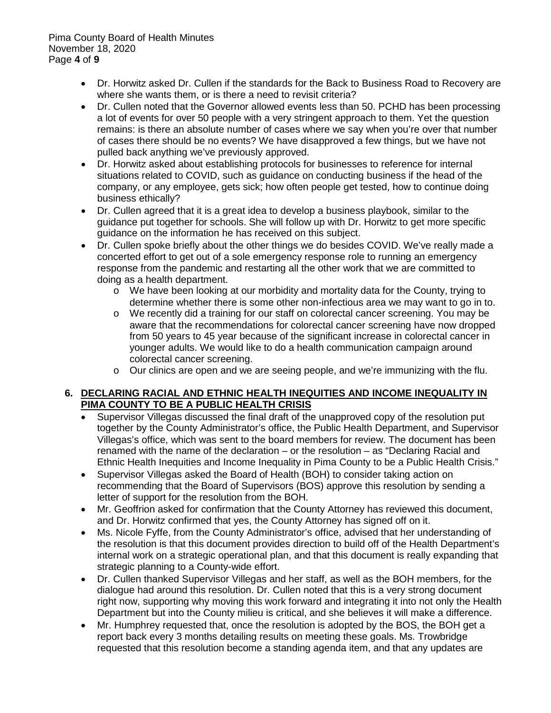Pima County Board of Health Minutes November 18, 2020 Page **4** of **9**

- Dr. Horwitz asked Dr. Cullen if the standards for the Back to Business Road to Recovery are where she wants them, or is there a need to revisit criteria?
- Dr. Cullen noted that the Governor allowed events less than 50. PCHD has been processing a lot of events for over 50 people with a very stringent approach to them. Yet the question remains: is there an absolute number of cases where we say when you're over that number of cases there should be no events? We have disapproved a few things, but we have not pulled back anything we've previously approved.
- Dr. Horwitz asked about establishing protocols for businesses to reference for internal situations related to COVID, such as guidance on conducting business if the head of the company, or any employee, gets sick; how often people get tested, how to continue doing business ethically?
- Dr. Cullen agreed that it is a great idea to develop a business playbook, similar to the guidance put together for schools. She will follow up with Dr. Horwitz to get more specific guidance on the information he has received on this subject.
- Dr. Cullen spoke briefly about the other things we do besides COVID. We've really made a concerted effort to get out of a sole emergency response role to running an emergency response from the pandemic and restarting all the other work that we are committed to doing as a health department.
	- o We have been looking at our morbidity and mortality data for the County, trying to determine whether there is some other non-infectious area we may want to go in to.
	- o We recently did a training for our staff on colorectal cancer screening. You may be aware that the recommendations for colorectal cancer screening have now dropped from 50 years to 45 year because of the significant increase in colorectal cancer in younger adults. We would like to do a health communication campaign around colorectal cancer screening.
	- $\circ$  Our clinics are open and we are seeing people, and we're immunizing with the flu.

## **6. DECLARING RACIAL AND ETHNIC HEALTH INEQUITIES AND INCOME INEQUALITY IN PIMA COUNTY TO BE A PUBLIC HEALTH CRISIS**

- Supervisor Villegas discussed the final draft of the unapproved copy of the resolution put together by the County Administrator's office, the Public Health Department, and Supervisor Villegas's office, which was sent to the board members for review. The document has been renamed with the name of the declaration – or the resolution – as "Declaring Racial and Ethnic Health Inequities and Income Inequality in Pima County to be a Public Health Crisis."
- Supervisor Villegas asked the Board of Health (BOH) to consider taking action on recommending that the Board of Supervisors (BOS) approve this resolution by sending a letter of support for the resolution from the BOH.
- Mr. Geoffrion asked for confirmation that the County Attorney has reviewed this document, and Dr. Horwitz confirmed that yes, the County Attorney has signed off on it.
- Ms. Nicole Fyffe, from the County Administrator's office, advised that her understanding of the resolution is that this document provides direction to build off of the Health Department's internal work on a strategic operational plan, and that this document is really expanding that strategic planning to a County-wide effort.
- Dr. Cullen thanked Supervisor Villegas and her staff, as well as the BOH members, for the dialogue had around this resolution. Dr. Cullen noted that this is a very strong document right now, supporting why moving this work forward and integrating it into not only the Health Department but into the County milieu is critical, and she believes it will make a difference.
- Mr. Humphrey requested that, once the resolution is adopted by the BOS, the BOH get a report back every 3 months detailing results on meeting these goals. Ms. Trowbridge requested that this resolution become a standing agenda item, and that any updates are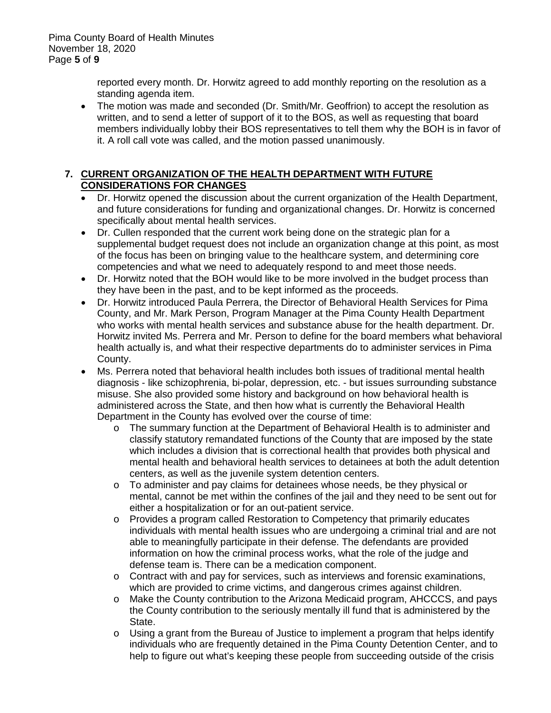reported every month. Dr. Horwitz agreed to add monthly reporting on the resolution as a standing agenda item.

• The motion was made and seconded (Dr. Smith/Mr. Geoffrion) to accept the resolution as written, and to send a letter of support of it to the BOS, as well as requesting that board members individually lobby their BOS representatives to tell them why the BOH is in favor of it. A roll call vote was called, and the motion passed unanimously.

# **7. CURRENT ORGANIZATION OF THE HEALTH DEPARTMENT WITH FUTURE CONSIDERATIONS FOR CHANGES**

- Dr. Horwitz opened the discussion about the current organization of the Health Department, and future considerations for funding and organizational changes. Dr. Horwitz is concerned specifically about mental health services.
- Dr. Cullen responded that the current work being done on the strategic plan for a supplemental budget request does not include an organization change at this point, as most of the focus has been on bringing value to the healthcare system, and determining core competencies and what we need to adequately respond to and meet those needs.
- Dr. Horwitz noted that the BOH would like to be more involved in the budget process than they have been in the past, and to be kept informed as the proceeds.
- Dr. Horwitz introduced Paula Perrera, the Director of Behavioral Health Services for Pima County, and Mr. Mark Person, Program Manager at the Pima County Health Department who works with mental health services and substance abuse for the health department. Dr. Horwitz invited Ms. Perrera and Mr. Person to define for the board members what behavioral health actually is, and what their respective departments do to administer services in Pima County.
- Ms. Perrera noted that behavioral health includes both issues of traditional mental health diagnosis - like schizophrenia, bi-polar, depression, etc. - but issues surrounding substance misuse. She also provided some history and background on how behavioral health is administered across the State, and then how what is currently the Behavioral Health Department in the County has evolved over the course of time:
	- o The summary function at the Department of Behavioral Health is to administer and classify statutory remandated functions of the County that are imposed by the state which includes a division that is correctional health that provides both physical and mental health and behavioral health services to detainees at both the adult detention centers, as well as the juvenile system detention centers.
	- o To administer and pay claims for detainees whose needs, be they physical or mental, cannot be met within the confines of the jail and they need to be sent out for either a hospitalization or for an out-patient service.
	- o Provides a program called Restoration to Competency that primarily educates individuals with mental health issues who are undergoing a criminal trial and are not able to meaningfully participate in their defense. The defendants are provided information on how the criminal process works, what the role of the judge and defense team is. There can be a medication component.
	- $\circ$  Contract with and pay for services, such as interviews and forensic examinations, which are provided to crime victims, and dangerous crimes against children.
	- o Make the County contribution to the Arizona Medicaid program, AHCCCS, and pays the County contribution to the seriously mentally ill fund that is administered by the State.
	- o Using a grant from the Bureau of Justice to implement a program that helps identify individuals who are frequently detained in the Pima County Detention Center, and to help to figure out what's keeping these people from succeeding outside of the crisis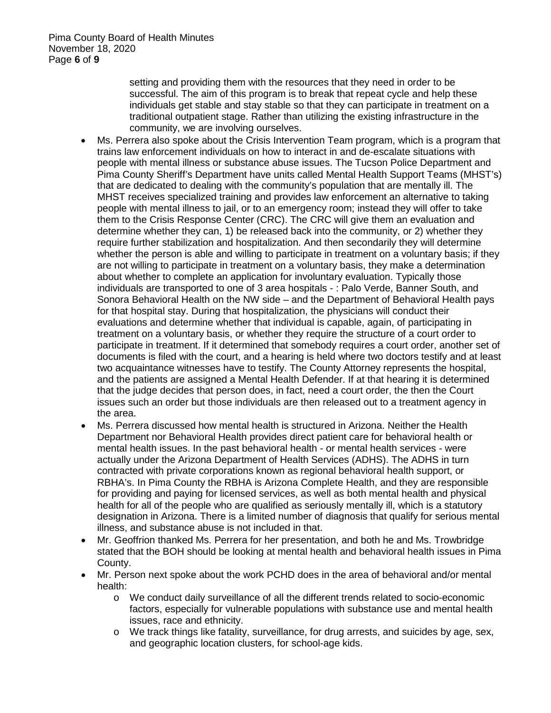setting and providing them with the resources that they need in order to be successful. The aim of this program is to break that repeat cycle and help these individuals get stable and stay stable so that they can participate in treatment on a traditional outpatient stage. Rather than utilizing the existing infrastructure in the community, we are involving ourselves.

- Ms. Perrera also spoke about the Crisis Intervention Team program, which is a program that trains law enforcement individuals on how to interact in and de-escalate situations with people with mental illness or substance abuse issues. The Tucson Police Department and Pima County Sheriff's Department have units called Mental Health Support Teams (MHST's) that are dedicated to dealing with the community's population that are mentally ill. The MHST receives specialized training and provides law enforcement an alternative to taking people with mental illness to jail, or to an emergency room; instead they will offer to take them to the Crisis Response Center (CRC). The CRC will give them an evaluation and determine whether they can, 1) be released back into the community, or 2) whether they require further stabilization and hospitalization. And then secondarily they will determine whether the person is able and willing to participate in treatment on a voluntary basis; if they are not willing to participate in treatment on a voluntary basis, they make a determination about whether to complete an application for involuntary evaluation. Typically those individuals are transported to one of 3 area hospitals - : Palo Verde, Banner South, and Sonora Behavioral Health on the NW side – and the Department of Behavioral Health pays for that hospital stay. During that hospitalization, the physicians will conduct their evaluations and determine whether that individual is capable, again, of participating in treatment on a voluntary basis, or whether they require the structure of a court order to participate in treatment. If it determined that somebody requires a court order, another set of documents is filed with the court, and a hearing is held where two doctors testify and at least two acquaintance witnesses have to testify. The County Attorney represents the hospital, and the patients are assigned a Mental Health Defender. If at that hearing it is determined that the judge decides that person does, in fact, need a court order, the then the Court issues such an order but those individuals are then released out to a treatment agency in the area.
- Ms. Perrera discussed how mental health is structured in Arizona. Neither the Health Department nor Behavioral Health provides direct patient care for behavioral health or mental health issues. In the past behavioral health - or mental health services - were actually under the Arizona Department of Health Services (ADHS). The ADHS in turn contracted with private corporations known as regional behavioral health support, or RBHA's. In Pima County the RBHA is Arizona Complete Health, and they are responsible for providing and paying for licensed services, as well as both mental health and physical health for all of the people who are qualified as seriously mentally ill, which is a statutory designation in Arizona. There is a limited number of diagnosis that qualify for serious mental illness, and substance abuse is not included in that.
- Mr. Geoffrion thanked Ms. Perrera for her presentation, and both he and Ms. Trowbridge stated that the BOH should be looking at mental health and behavioral health issues in Pima County.
- Mr. Person next spoke about the work PCHD does in the area of behavioral and/or mental health:
	- o We conduct daily surveillance of all the different trends related to socio-economic factors, especially for vulnerable populations with substance use and mental health issues, race and ethnicity.
	- o We track things like fatality, surveillance, for drug arrests, and suicides by age, sex, and geographic location clusters, for school-age kids.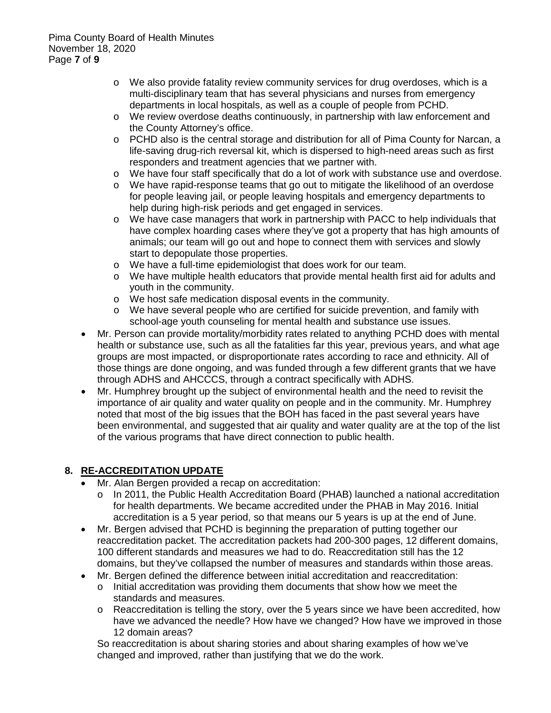- o We also provide fatality review community services for drug overdoses, which is a multi-disciplinary team that has several physicians and nurses from emergency departments in local hospitals, as well as a couple of people from PCHD.
- o We review overdose deaths continuously, in partnership with law enforcement and the County Attorney's office.
- o PCHD also is the central storage and distribution for all of Pima County for Narcan, a life-saving drug-rich reversal kit, which is dispersed to high-need areas such as first responders and treatment agencies that we partner with.
- o We have four staff specifically that do a lot of work with substance use and overdose.
- o We have rapid-response teams that go out to mitigate the likelihood of an overdose for people leaving jail, or people leaving hospitals and emergency departments to help during high-risk periods and get engaged in services.
- o We have case managers that work in partnership with PACC to help individuals that have complex hoarding cases where they've got a property that has high amounts of animals; our team will go out and hope to connect them with services and slowly start to depopulate those properties.
- o We have a full-time epidemiologist that does work for our team.
- o We have multiple health educators that provide mental health first aid for adults and youth in the community.
- o We host safe medication disposal events in the community.
- o We have several people who are certified for suicide prevention, and family with school-age youth counseling for mental health and substance use issues.
- Mr. Person can provide mortality/morbidity rates related to anything PCHD does with mental health or substance use, such as all the fatalities far this year, previous years, and what age groups are most impacted, or disproportionate rates according to race and ethnicity. All of those things are done ongoing, and was funded through a few different grants that we have through ADHS and AHCCCS, through a contract specifically with ADHS.
- Mr. Humphrey brought up the subject of environmental health and the need to revisit the importance of air quality and water quality on people and in the community. Mr. Humphrey noted that most of the big issues that the BOH has faced in the past several years have been environmental, and suggested that air quality and water quality are at the top of the list of the various programs that have direct connection to public health.

### **8. RE-ACCREDITATION UPDATE**

- Mr. Alan Bergen provided a recap on accreditation:
	- o In 2011, the Public Health Accreditation Board (PHAB) launched a national accreditation for health departments. We became accredited under the PHAB in May 2016. Initial accreditation is a 5 year period, so that means our 5 years is up at the end of June.
- Mr. Bergen advised that PCHD is beginning the preparation of putting together our reaccreditation packet. The accreditation packets had 200-300 pages, 12 different domains, 100 different standards and measures we had to do. Reaccreditation still has the 12 domains, but they've collapsed the number of measures and standards within those areas.
	- Mr. Bergen defined the difference between initial accreditation and reaccreditation:  $\circ$  Initial accreditation was providing them documents that show how we meet the standards and measures.
		- $\circ$  Reaccreditation is telling the story, over the 5 years since we have been accredited, how have we advanced the needle? How have we changed? How have we improved in those 12 domain areas?

So reaccreditation is about sharing stories and about sharing examples of how we've changed and improved, rather than justifying that we do the work.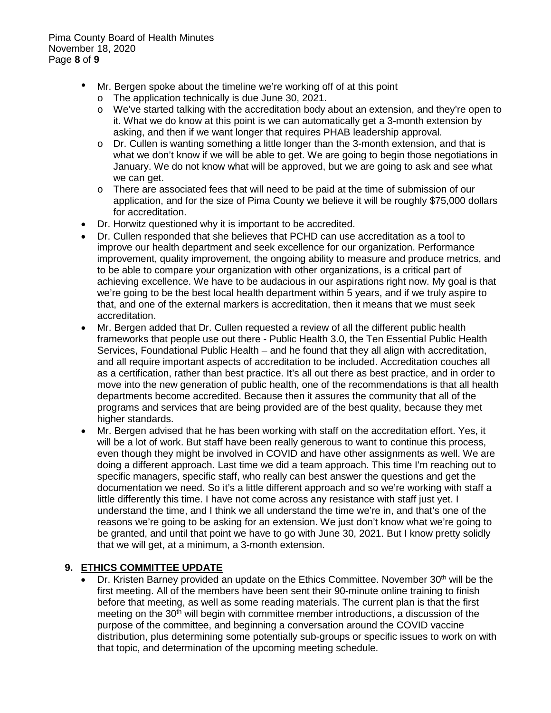- Mr. Bergen spoke about the timeline we're working off of at this point
	- o The application technically is due June 30, 2021.
	- o We've started talking with the accreditation body about an extension, and they're open to it. What we do know at this point is we can automatically get a 3-month extension by asking, and then if we want longer that requires PHAB leadership approval.
	- o Dr. Cullen is wanting something a little longer than the 3-month extension, and that is what we don't know if we will be able to get. We are going to begin those negotiations in January. We do not know what will be approved, but we are going to ask and see what we can get.
	- o There are associated fees that will need to be paid at the time of submission of our application, and for the size of Pima County we believe it will be roughly \$75,000 dollars for accreditation.
- Dr. Horwitz questioned why it is important to be accredited.
- Dr. Cullen responded that she believes that PCHD can use accreditation as a tool to improve our health department and seek excellence for our organization. Performance improvement, quality improvement, the ongoing ability to measure and produce metrics, and to be able to compare your organization with other organizations, is a critical part of achieving excellence. We have to be audacious in our aspirations right now. My goal is that we're going to be the best local health department within 5 years, and if we truly aspire to that, and one of the external markers is accreditation, then it means that we must seek accreditation.
- Mr. Bergen added that Dr. Cullen requested a review of all the different public health frameworks that people use out there - Public Health 3.0, the Ten Essential Public Health Services, Foundational Public Health – and he found that they all align with accreditation, and all require important aspects of accreditation to be included. Accreditation couches all as a certification, rather than best practice. It's all out there as best practice, and in order to move into the new generation of public health, one of the recommendations is that all health departments become accredited. Because then it assures the community that all of the programs and services that are being provided are of the best quality, because they met higher standards.
- Mr. Bergen advised that he has been working with staff on the accreditation effort. Yes, it will be a lot of work. But staff have been really generous to want to continue this process, even though they might be involved in COVID and have other assignments as well. We are doing a different approach. Last time we did a team approach. This time I'm reaching out to specific managers, specific staff, who really can best answer the questions and get the documentation we need. So it's a little different approach and so we're working with staff a little differently this time. I have not come across any resistance with staff just yet. I understand the time, and I think we all understand the time we're in, and that's one of the reasons we're going to be asking for an extension. We just don't know what we're going to be granted, and until that point we have to go with June 30, 2021. But I know pretty solidly that we will get, at a minimum, a 3-month extension.

# **9. ETHICS COMMITTEE UPDATE**

Dr. Kristen Barney provided an update on the Ethics Committee. November 30<sup>th</sup> will be the first meeting. All of the members have been sent their 90-minute online training to finish before that meeting, as well as some reading materials. The current plan is that the first meeting on the 30<sup>th</sup> will begin with committee member introductions, a discussion of the purpose of the committee, and beginning a conversation around the COVID vaccine distribution, plus determining some potentially sub-groups or specific issues to work on with that topic, and determination of the upcoming meeting schedule.